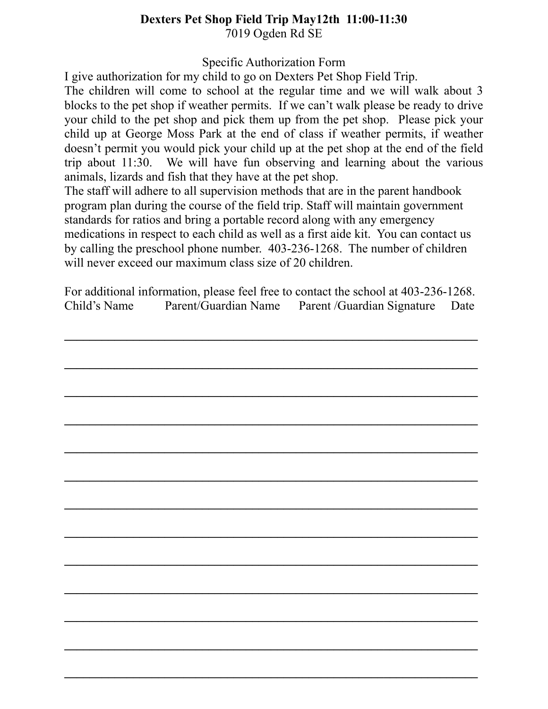## **Dexters Pet Shop Field Trip May12th 11:00-11:30** 7019 Ogden Rd SE

Specific Authorization Form

I give authorization for my child to go on Dexters Pet Shop Field Trip.

The children will come to school at the regular time and we will walk about 3 blocks to the pet shop if weather permits. If we can't walk please be ready to drive your child to the pet shop and pick them up from the pet shop. Please pick your child up at George Moss Park at the end of class if weather permits, if weather doesn't permit you would pick your child up at the pet shop at the end of the field trip about 11:30. We will have fun observing and learning about the various animals, lizards and fish that they have at the pet shop.

The staff will adhere to all supervision methods that are in the parent handbook program plan during the course of the field trip. Staff will maintain government standards for ratios and bring a portable record along with any emergency medications in respect to each child as well as a first aide kit. You can contact us by calling the preschool phone number. 403-236-1268. The number of children will never exceed our maximum class size of 20 children.

For additional information, please feel free to contact the school at 403-236-1268. Child's Name Parent/Guardian Name Parent /Guardian Signature Date

**\_\_\_\_\_\_\_\_\_\_\_\_\_\_\_\_\_\_\_\_\_\_\_\_\_\_\_\_\_\_\_\_\_\_\_\_\_\_\_\_\_\_\_\_\_\_\_\_\_\_\_\_\_\_\_\_\_\_\_\_\_\_\_\_\_\_**

**\_\_\_\_\_\_\_\_\_\_\_\_\_\_\_\_\_\_\_\_\_\_\_\_\_\_\_\_\_\_\_\_\_\_\_\_\_\_\_\_\_\_\_\_\_\_\_\_\_\_\_\_\_\_\_\_\_\_\_\_\_\_\_\_\_\_**

**\_\_\_\_\_\_\_\_\_\_\_\_\_\_\_\_\_\_\_\_\_\_\_\_\_\_\_\_\_\_\_\_\_\_\_\_\_\_\_\_\_\_\_\_\_\_\_\_\_\_\_\_\_\_\_\_\_\_\_\_\_\_\_\_\_\_**

**\_\_\_\_\_\_\_\_\_\_\_\_\_\_\_\_\_\_\_\_\_\_\_\_\_\_\_\_\_\_\_\_\_\_\_\_\_\_\_\_\_\_\_\_\_\_\_\_\_\_\_\_\_\_\_\_\_\_\_\_\_\_\_\_\_\_**

**\_\_\_\_\_\_\_\_\_\_\_\_\_\_\_\_\_\_\_\_\_\_\_\_\_\_\_\_\_\_\_\_\_\_\_\_\_\_\_\_\_\_\_\_\_\_\_\_\_\_\_\_\_\_\_\_\_\_\_\_\_\_\_\_\_\_**

**\_\_\_\_\_\_\_\_\_\_\_\_\_\_\_\_\_\_\_\_\_\_\_\_\_\_\_\_\_\_\_\_\_\_\_\_\_\_\_\_\_\_\_\_\_\_\_\_\_\_\_\_\_\_\_\_\_\_\_\_\_\_\_\_\_\_**

**\_\_\_\_\_\_\_\_\_\_\_\_\_\_\_\_\_\_\_\_\_\_\_\_\_\_\_\_\_\_\_\_\_\_\_\_\_\_\_\_\_\_\_\_\_\_\_\_\_\_\_\_\_\_\_\_\_\_\_\_\_\_\_\_\_\_**